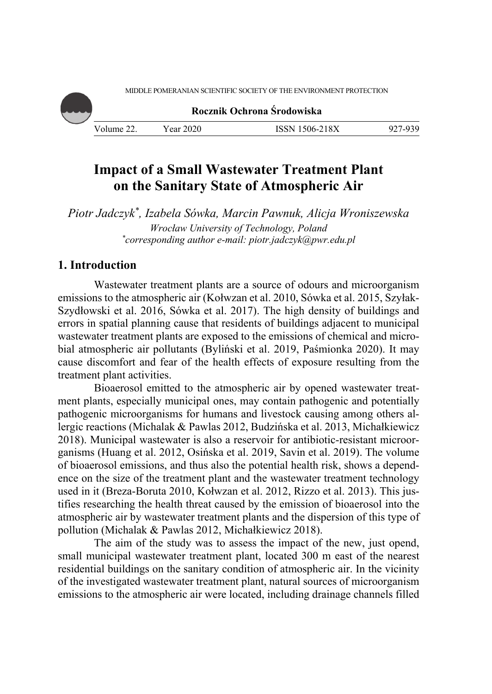MIDDLE POMERANIAN SCIENTIFIC SOCIETY OF THE ENVIRONMENT PROTECTION

**Rocznik Ochrona Środowiska**

Volume 22. Year 2020 ISSN 1506-218X 927-939

# **Impact of a Small Wastewater Treatment Plant on the Sanitary State of Atmospheric Air**

*Piotr Jadczyk\*, Izabela Sówka, Marcin Pawnuk, Alicja Wroniszewska Wrocław University of Technology, Poland \* corresponding author e-mail: piotr.jadczyk@pwr.edu.pl* 

## **1. Introduction**

Wastewater treatment plants are a source of odours and microorganism emissions to the atmospheric air (Kołwzan et al. 2010, Sówka et al. 2015, Szyłak-Szydłowski et al. 2016, Sówka et al. 2017). The high density of buildings and errors in spatial planning cause that residents of buildings adjacent to municipal wastewater treatment plants are exposed to the emissions of chemical and microbial atmospheric air pollutants (Byliński et al. 2019, Paśmionka 2020). It may cause discomfort and fear of the health effects of exposure resulting from the treatment plant activities.

Bioaerosol emitted to the atmospheric air by opened wastewater treatment plants, especially municipal ones, may contain pathogenic and potentially pathogenic microorganisms for humans and livestock causing among others allergic reactions (Michalak & Pawlas 2012, Budzińska et al. 2013, Michałkiewicz 2018). Municipal wastewater is also a reservoir for antibiotic-resistant microorganisms (Huang et al. 2012, Osińska et al. 2019, Savin et al. 2019). The volume of bioaerosol emissions, and thus also the potential health risk, shows a dependence on the size of the treatment plant and the wastewater treatment technology used in it (Breza-Boruta 2010, Kołwzan et al. 2012, Rizzo et al. 2013). This justifies researching the health threat caused by the emission of bioaerosol into the atmospheric air by wastewater treatment plants and the dispersion of this type of pollution (Michalak & Pawlas 2012, Michałkiewicz 2018).

The aim of the study was to assess the impact of the new, just opend, small municipal wastewater treatment plant, located 300 m east of the nearest residential buildings on the sanitary condition of atmospheric air. In the vicinity of the investigated wastewater treatment plant, natural sources of microorganism emissions to the atmospheric air were located, including drainage channels filled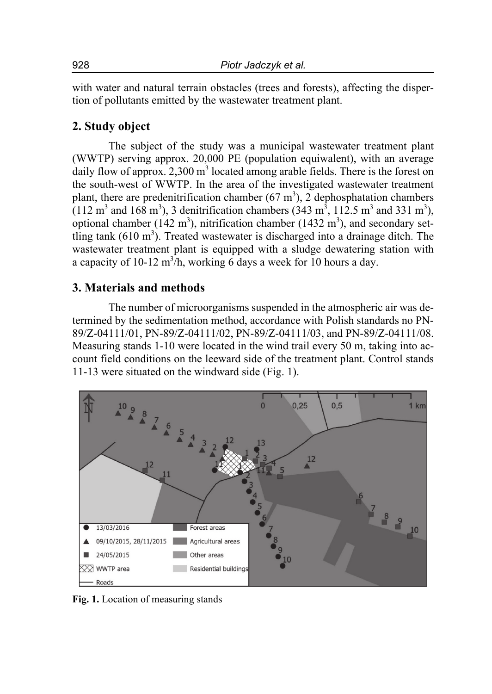with water and natural terrain obstacles (trees and forests), affecting the dispertion of pollutants emitted by the wastewater treatment plant.

## **2. Study object**

The subject of the study was a municipal wastewater treatment plant (WWTP) serving approx. 20,000 PE (population equiwalent), with an average daily flow of approx.  $2,300 \text{ m}^3$  located among arable fields. There is the forest on the south-west of WWTP. In the area of the investigated wastewater treatment plant, there are predenitrification chamber  $(67 \text{ m}^3)$ , 2 dephosphatation chambers  $(112 \text{ m}^3 \text{ and } 168 \text{ m}^3)$ , 3 denitrification chambers  $(343 \text{ m}^3, 112.5 \text{ m}^3 \text{ and } 331 \text{ m}^3)$ , optional chamber (142 m<sup>3</sup>), nitrification chamber (1432 m<sup>3</sup>), and secondary settling tank  $(610 \text{ m}^3)$ . Treated wastewater is discharged into a drainage ditch. The wastewater treatment plant is equipped with a sludge dewatering station with a capacity of 10-12 m<sup>3</sup>/h, working 6 days a week for 10 hours a day.

### **3. Materials and methods**

The number of microorganisms suspended in the atmospheric air was determined by the sedimentation method, accordance with Polish standards no PN-89/Z-04111/01, PN-89/Z-04111/02, PN-89/Z-04111/03, and PN-89/Z-04111/08. Measuring stands 1-10 were located in the wind trail every 50 m, taking into account field conditions on the leeward side of the treatment plant. Control stands 11-13 were situated on the windward side (Fig. 1).



**Fig. 1.** Location of measuring stands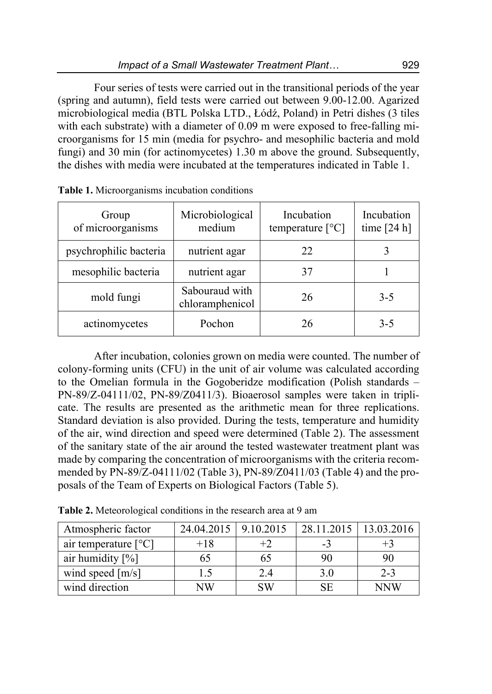Four series of tests were carried out in the transitional periods of the year (spring and autumn), field tests were carried out between 9.00-12.00. Agarized microbiological media (BTL Polska LTD., Łódź, Poland) in Petri dishes (3 tiles with each substrate) with a diameter of 0.09 m were exposed to free-falling microorganisms for 15 min (media for psychro- and mesophilic bacteria and mold fungi) and 30 min (for actinomycetes) 1.30 m above the ground. Subsequently, the dishes with media were incubated at the temperatures indicated in Table 1.

| Group<br>of microorganisms | Microbiological<br>medium         | Incubation<br>temperature $[^{\circ}C]$ | Incubation<br>time $[24 h]$ |
|----------------------------|-----------------------------------|-----------------------------------------|-----------------------------|
| psychrophilic bacteria     | nutrient agar                     | 22                                      |                             |
| mesophilic bacteria        | nutrient agar                     | 37                                      |                             |
| mold fungi                 | Sabouraud with<br>chloramphenicol | 26                                      | $3 - 5$                     |
| actinomycetes              | Pochon                            | 26                                      | $3 - 5$                     |

**Table 1.** Microorganisms incubation conditions

After incubation, colonies grown on media were counted. The number of colony-forming units (CFU) in the unit of air volume was calculated according to the Omelian formula in the Gogoberidze modification (Polish standards – PN-89/Z-04111/02, PN-89/Z0411/3). Bioaerosol samples were taken in triplicate. The results are presented as the arithmetic mean for three replications. Standard deviation is also provided. During the tests, temperature and humidity of the air, wind direction and speed were determined (Table 2). The assessment of the sanitary state of the air around the tested wastewater treatment plant was made by comparing the concentration of microorganisms with the criteria recommended by PN-89/Z-04111/02 (Table 3), PN-89/Z0411/03 (Table 4) and the proposals of the Team of Experts on Biological Factors (Table 5).

| Atmospheric factor     | 24.04.2015   9.10.2015 |           | 28.11.2015   13.03.2016 |            |
|------------------------|------------------------|-----------|-------------------------|------------|
| air temperature $[°C]$ | $+18$                  |           | -3                      |            |
| air humidity $[\%]$    | 65                     | 6D        | 90                      | 90         |
| wind speed $[m/s]$     | 1.5                    | 2.4       | 3.0                     | $2 - 3$    |
| wind direction         | NW                     | <b>SW</b> | SE.                     | <b>NNW</b> |

**Table 2.** Meteorological conditions in the research area at 9 am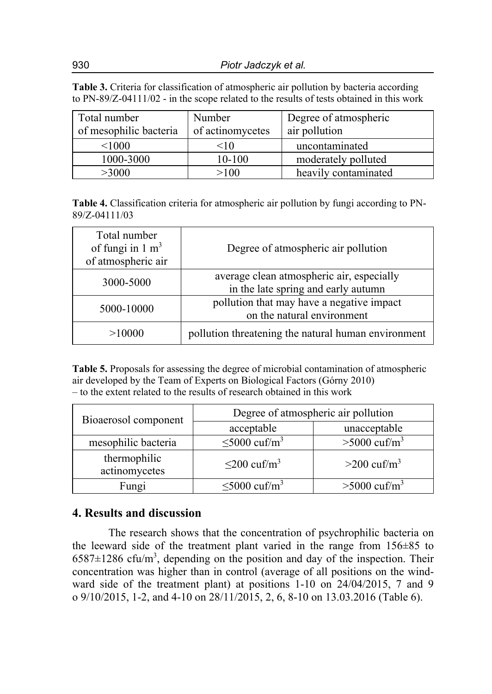**Table 3.** Criteria for classification of atmospheric air pollution by bacteria according to PN-89/Z-04111/02 - in the scope related to the results of tests obtained in this work

| Total number<br>of mesophilic bacteria | Number<br>of actinomycetes | Degree of atmospheric<br>air pollution |
|----------------------------------------|----------------------------|----------------------------------------|
| < 1000                                 | $<$ 10                     | uncontaminated                         |
| 1000-3000                              | 10-100                     | moderately polluted                    |
| >3000                                  | >100                       | heavily contaminated                   |

**Table 4.** Classification criteria for atmospheric air pollution by fungi according to PN-89/Z-04111/03

| Total number<br>of fungi in $1 \text{ m}^3$<br>of atmospheric air | Degree of atmospheric air pollution                                              |
|-------------------------------------------------------------------|----------------------------------------------------------------------------------|
| 3000-5000                                                         | average clean atmospheric air, especially<br>in the late spring and early autumn |
| 5000-10000                                                        | pollution that may have a negative impact<br>on the natural environment          |
| >10000                                                            | pollution threatening the natural human environment                              |

**Table 5.** Proposals for assessing the degree of microbial contamination of atmospheric air developed by the Team of Experts on Biological Factors (Górny 2010) – to the extent related to the results of research obtained in this work

| Bioaerosol component          | Degree of atmospheric air pollution |                            |  |
|-------------------------------|-------------------------------------|----------------------------|--|
|                               | acceptable                          | unacceptable               |  |
| mesophilic bacteria           | $\leq 5000 \text{ cuf/m}^3$         | $>5000 \text{ cm/m}^3$     |  |
| thermophilic<br>actinomycetes | $\leq$ 200 cuf/m <sup>3</sup>       | $>200$ cuf/m <sup>3</sup>  |  |
| Fungi                         | $\leq 5000$ cuf/m <sup>3</sup>      | $>5000$ cuf/m <sup>3</sup> |  |

### **4. Results and discussion**

The research shows that the concentration of psychrophilic bacteria on the leeward side of the treatment plant varied in the range from 156±85 to  $6587 \pm 1286$  cfu/m<sup>3</sup>, depending on the position and day of the inspection. Their concentration was higher than in control (average of all positions on the windward side of the treatment plant) at positions 1-10 on 24/04/2015, 7 and 9 o 9/10/2015, 1-2, and 4-10 on 28/11/2015, 2, 6, 8-10 on 13.03.2016 (Table 6).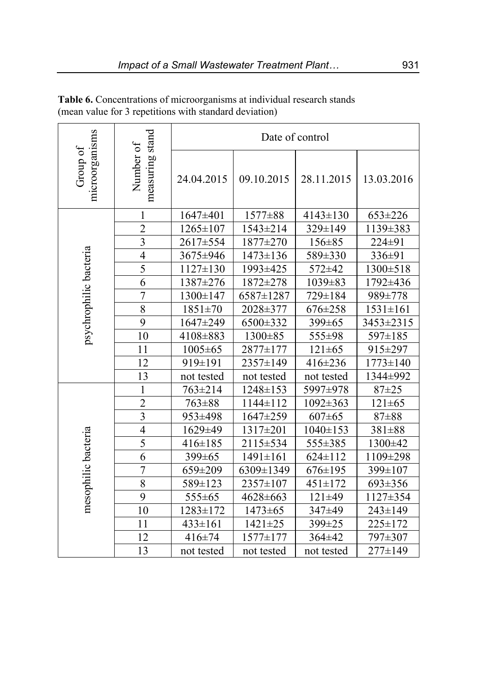| microorganisms<br>Group of |                              | Date of control |               |              |                |
|----------------------------|------------------------------|-----------------|---------------|--------------|----------------|
|                            | measuring stand<br>Number of | 24.04.2015      | 09.10.2015    | 28.11.2015   | 13.03.2016     |
|                            | 1                            | 1647±401        | 1577±88       | 4143±130     | 653±226        |
|                            | $\overline{2}$               | 1265±107        | 1543±214      | 329±149      | 1139±383       |
|                            | $\overline{\mathbf{3}}$      | 2617±554        | 1877±270      | 156±85       | 224±91         |
| psychrophilic bacteria     | $\overline{4}$               | 3675±946        | 1473±136      | 589±330      | 336±91         |
|                            | $\overline{5}$               | 1127±130        | 1993±425      | 572±42       | 1300±518       |
|                            | 6                            | 1387±276        | 1872±278      | 1039±83      | 1792±436       |
|                            | $\overline{7}$               | 1300±147        | 6587±1287     | 729±184      | 989±778        |
|                            | 8                            | 1851±70         | 2028±377      | 676±258      | $1531 \pm 161$ |
|                            | 9                            | 1647±249        | 6500±332      | 399±65       | 3453±2315      |
|                            | 10                           | 4108±883        | 1300±85       | 555±98       | 597±185        |
|                            | 11                           | $1005 \pm 65$   | 2877±177      | $121 \pm 65$ | 915±297        |
|                            | 12                           | 919±191         | 2357±149      | 416±236      | 1773±140       |
|                            | 13                           | not tested      | not tested    | not tested   | 1344±992       |
|                            | 1                            | 763±214         | 1248±153      | 5997±978     | $87 + 25$      |
|                            | $\overline{2}$               | 763±88          | 1144±112      | 1092±363     | $121 \pm 65$   |
|                            | $\overline{\mathbf{3}}$      | 953±498         | 1647±259      | $607 \pm 65$ | 87±88          |
|                            | $\overline{4}$               | 1629±49         | 1317±201      | 1040±153     | 381±88         |
|                            | 5                            | 416±185         | 2115±534      | 555±385      | 1300±42        |
|                            | 6                            | 399±65          | 1491±161      | 624±112      | 1109±298       |
|                            | $\overline{7}$               | 659±209         | 6309±1349     | 676±195      | 399±107        |
| mesophilic bacteria        | 8                            | 589±123         | 2357±107      | 451±172      | 693±356        |
|                            | 9                            | 555±65          | 4628±663      | 121±49       | 1127±354       |
|                            | 10                           | 1283±172        | $1473 \pm 65$ | 347±49       | 243±149        |
|                            | 11                           | 433±161         | $1421 \pm 25$ | 399±25       | 225±172        |
|                            | 12                           | 416±74          | 1577±177      | 364±42       | 797±307        |
|                            | 13                           | not tested      | not tested    | not tested   | 277±149        |

**Table 6.** Concentrations of microorganisms at individual research stands (mean value for 3 repetitions with standard deviation)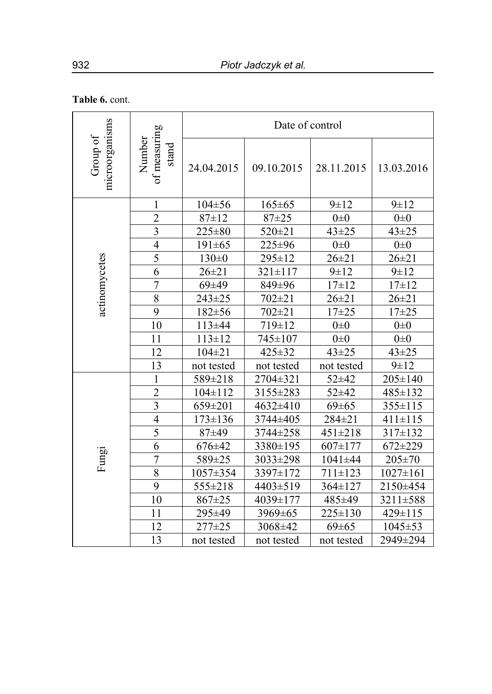## **Table 6.** cont.

| microorganisms<br>of measuring<br>Group of<br>Number<br>stand |                | Date of control |               |               |                |
|---------------------------------------------------------------|----------------|-----------------|---------------|---------------|----------------|
|                                                               |                | 24.04.2015      | 09.10.2015    | 28.11.2015    | 13.03.2016     |
|                                                               | $\mathbf{1}$   | 104±56          | $165 \pm 65$  | $9 + 12$      | $9 + 12$       |
|                                                               | $\overline{2}$ | $87 \pm 12$     | $87 + 25$     | $0\pm 0$      | $0\pm 0$       |
|                                                               | $\overline{3}$ | 225±80          | 520±21        | $43 + 25$     | $43 + 25$      |
|                                                               | $\overline{4}$ | $191 \pm 65$    | 225±96        | $0\pm 0$      | $0\pm 0$       |
|                                                               | 5              | $130 \pm 0$     | 295±12        | $26 + 21$     | $26 + 21$      |
|                                                               | 6              | $26 \pm 21$     | $321 \pm 117$ | $9 + 12$      | $9 \pm 12$     |
| actinomycetes                                                 | $\overline{7}$ | 69±49           | 849±96        | $17 + 12$     | $17 + 12$      |
|                                                               | $\overline{8}$ | $243 \pm 25$    | $702 + 21$    | $26 + 21$     | $26 + 21$      |
|                                                               | 9              | $182 \pm 56$    | $702 + 21$    | $17 + 25$     | $17 + 25$      |
|                                                               | 10             | 113±44          | 719±12        | $0\pm 0$      | $0\pm 0$       |
|                                                               | 11             | $113 \pm 12$    | 745±107       | $0\pm 0$      | $0\pm 0$       |
|                                                               | 12             | $104 \pm 21$    | 425±32        | $43 + 25$     | $43 + 25$      |
|                                                               | 13             | not tested      | not tested    | not tested    | $9 + 12$       |
|                                                               | $\mathbf{1}$   | 589±218         | 2704±321      | 52±42         | 205±140        |
|                                                               | $\overline{2}$ | $104 \pm 112$   | 3155±283      | 52±42         | 485±132        |
|                                                               | $\overline{3}$ | 659±201         | 4632±410      | $69 \pm 65$   | 355±115        |
|                                                               | $\overline{4}$ | $173 \pm 136$   | 3744±405      | 284±21        | $411 \pm 115$  |
|                                                               | 5              | 87±49           | 3744±258      | 451±218       | 317±132        |
|                                                               | 6              | 676±42          | 3380±195      | 607±177       | $672 + 229$    |
| Fungi                                                         | $\overline{7}$ | 589±25          | 3033±298      | $1041 \pm 44$ | $205 \pm 70$   |
|                                                               | $\overline{8}$ | 1057±354        | 3397±172      | $711 \pm 123$ | $1027 \pm 161$ |
|                                                               | 9              | 555±218         | 4403±519      | 364±127       | 2150±454       |
|                                                               | 10             | 867±25          | 4039±177      | 485±49        | 3211±588       |
|                                                               | 11             | 295±49          | 3969±65       | 225±130       | 429±115        |
|                                                               | 12             | $277 \pm 25$    | 3068±42       | $69 \pm 65$   | $1045 \pm 53$  |
|                                                               | 13             | not tested      | not tested    | not tested    | 2949±294       |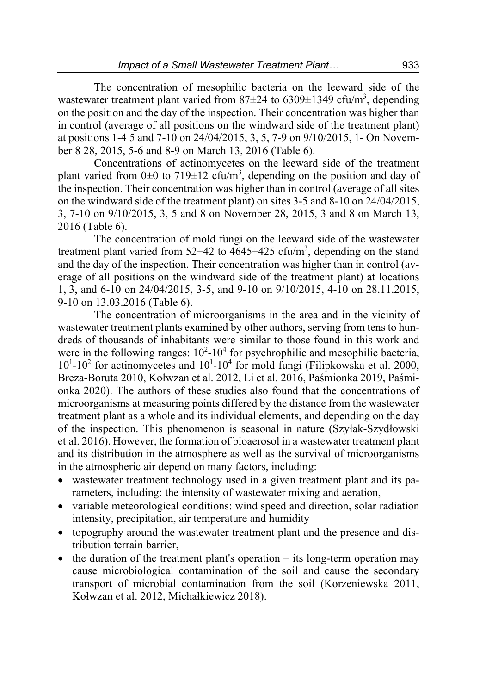The concentration of mesophilic bacteria on the leeward side of the wastewater treatment plant varied from  $87\pm24$  to  $6309\pm1349$  cfu/m<sup>3</sup>, depending on the position and the day of the inspection. Their concentration was higher than in control (average of all positions on the windward side of the treatment plant) at positions 1-4 5 and 7-10 on 24/04/2015, 3, 5, 7-9 on 9/10/2015, 1- On November 8 28, 2015, 5-6 and 8-9 on March 13, 2016 (Table 6).

Concentrations of actinomycetes on the leeward side of the treatment plant varied from  $0\pm 0$  to  $719\pm 12$  cfu/m<sup>3</sup>, depending on the position and day of the inspection. Their concentration was higher than in control (average of all sites on the windward side of the treatment plant) on sites 3-5 and 8-10 on 24/04/2015, 3, 7-10 on 9/10/2015, 3, 5 and 8 on November 28, 2015, 3 and 8 on March 13, 2016 (Table 6).

The concentration of mold fungi on the leeward side of the wastewater treatment plant varied from  $52\pm42$  to  $4645\pm425$  cfu/m<sup>3</sup>, depending on the stand and the day of the inspection. Their concentration was higher than in control (average of all positions on the windward side of the treatment plant) at locations 1, 3, and 6-10 on 24/04/2015, 3-5, and 9-10 on 9/10/2015, 4-10 on 28.11.2015, 9-10 on 13.03.2016 (Table 6).

The concentration of microorganisms in the area and in the vicinity of wastewater treatment plants examined by other authors, serving from tens to hundreds of thousands of inhabitants were similar to those found in this work and were in the following ranges:  $10^2$ -10<sup>4</sup> for psychrophilic and mesophilic bacteria,  $10^{1}$ - $10^{2}$  for actinomycetes and  $10^{1}$ - $10^{4}$  for mold fungi (Filipkowska et al. 2000, Breza-Boruta 2010, Kołwzan et al. 2012, Li et al. 2016, Paśmionka 2019, Paśmionka 2020). The authors of these studies also found that the concentrations of microorganisms at measuring points differed by the distance from the wastewater treatment plant as a whole and its individual elements, and depending on the day of the inspection. This phenomenon is seasonal in nature (Szyłak-Szydłowski et al. 2016). However, the formation of bioaerosol in a wastewater treatment plant and its distribution in the atmosphere as well as the survival of microorganisms in the atmospheric air depend on many factors, including:

- wastewater treatment technology used in a given treatment plant and its parameters, including: the intensity of wastewater mixing and aeration,
- variable meteorological conditions: wind speed and direction, solar radiation intensity, precipitation, air temperature and humidity
- topography around the wastewater treatment plant and the presence and distribution terrain barrier,
- $\bullet$  the duration of the treatment plant's operation its long-term operation may cause microbiological contamination of the soil and cause the secondary transport of microbial contamination from the soil (Korzeniewska 2011, Kołwzan et al. 2012, Michałkiewicz 2018).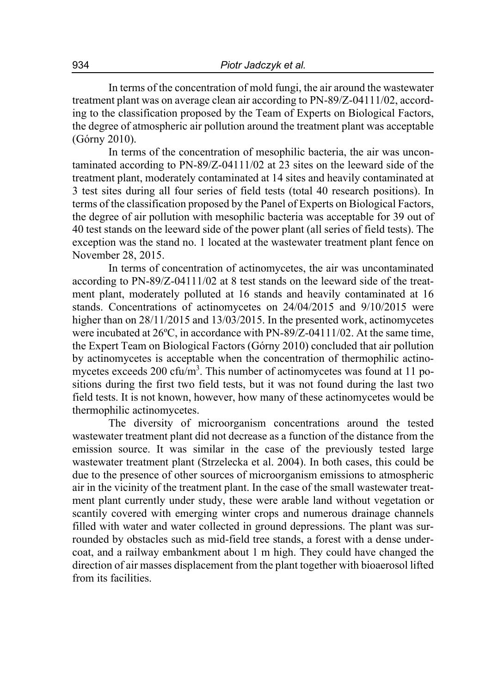In terms of the concentration of mold fungi, the air around the wastewater treatment plant was on average clean air according to PN-89/Z-04111/02, according to the classification proposed by the Team of Experts on Biological Factors, the degree of atmospheric air pollution around the treatment plant was acceptable (Górny 2010).

In terms of the concentration of mesophilic bacteria, the air was uncontaminated according to PN-89/Z-04111/02 at 23 sites on the leeward side of the treatment plant, moderately contaminated at 14 sites and heavily contaminated at 3 test sites during all four series of field tests (total 40 research positions). In terms of the classification proposed by the Panel of Experts on Biological Factors, the degree of air pollution with mesophilic bacteria was acceptable for 39 out of 40 test stands on the leeward side of the power plant (all series of field tests). The exception was the stand no. 1 located at the wastewater treatment plant fence on November 28, 2015.

In terms of concentration of actinomycetes, the air was uncontaminated according to PN-89/Z-04111/02 at 8 test stands on the leeward side of the treatment plant, moderately polluted at 16 stands and heavily contaminated at 16 stands. Concentrations of actinomycetes on 24/04/2015 and 9/10/2015 were higher than on 28/11/2015 and 13/03/2015. In the presented work, actinomycetes were incubated at 26ºC, in accordance with PN-89/Z-04111/02. At the same time, the Expert Team on Biological Factors (Górny 2010) concluded that air pollution by actinomycetes is acceptable when the concentration of thermophilic actinomycetes exceeds 200 cfu/m<sup>3</sup>. This number of actinomycetes was found at 11 positions during the first two field tests, but it was not found during the last two field tests. It is not known, however, how many of these actinomycetes would be thermophilic actinomycetes.

The diversity of microorganism concentrations around the tested wastewater treatment plant did not decrease as a function of the distance from the emission source. It was similar in the case of the previously tested large wastewater treatment plant (Strzelecka et al. 2004). In both cases, this could be due to the presence of other sources of microorganism emissions to atmospheric air in the vicinity of the treatment plant. In the case of the small wastewater treatment plant currently under study, these were arable land without vegetation or scantily covered with emerging winter crops and numerous drainage channels filled with water and water collected in ground depressions. The plant was surrounded by obstacles such as mid-field tree stands, a forest with a dense undercoat, and a railway embankment about 1 m high. They could have changed the direction of air masses displacement from the plant together with bioaerosol lifted from its facilities.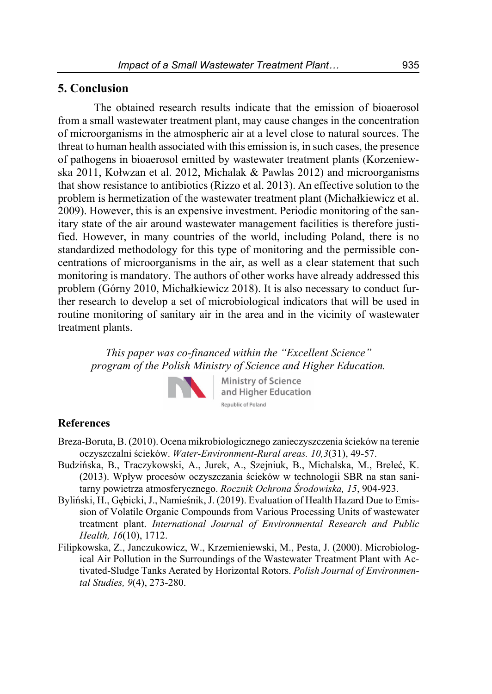### **5. Conclusion**

The obtained research results indicate that the emission of bioaerosol from a small wastewater treatment plant, may cause changes in the concentration of microorganisms in the atmospheric air at a level close to natural sources. The threat to human health associated with this emission is, in such cases, the presence of pathogens in bioaerosol emitted by wastewater treatment plants (Korzeniewska 2011, Kołwzan et al. 2012, Michalak & Pawlas 2012) and microorganisms that show resistance to antibiotics (Rizzo et al. 2013). An effective solution to the problem is hermetization of the wastewater treatment plant (Michałkiewicz et al. 2009). However, this is an expensive investment. Periodic monitoring of the sanitary state of the air around wastewater management facilities is therefore justified. However, in many countries of the world, including Poland, there is no standardized methodology for this type of monitoring and the permissible concentrations of microorganisms in the air, as well as a clear statement that such monitoring is mandatory. The authors of other works have already addressed this problem (Górny 2010, Michałkiewicz 2018). It is also necessary to conduct further research to develop a set of microbiological indicators that will be used in routine monitoring of sanitary air in the area and in the vicinity of wastewater treatment plants.

*This paper was co-financed within the "Excellent Science" program of the Polish Ministry of Science and Higher Education.* 



**Ministry of Science** and Higher Education Republic of Poland

### **References**

- Breza-Boruta, B. (2010). Ocena mikrobiologicznego zanieczyszczenia ścieków na terenie oczyszczalni ścieków. *Water-Environment-Rural areas. 10,3*(31), 49-57.
- Budzińska, B., Traczykowski, A., Jurek, A., Szejniuk, B., Michalska, M., Breleć, K. (2013). Wpływ procesów oczyszczania ścieków w technologii SBR na stan sanitarny powietrza atmosferycznego. *Rocznik Ochrona Środowiska, 15*, 904-923.
- Byliński, H., Gębicki, J., Namieśnik, J. (2019). Evaluation of Health Hazard Due to Emission of Volatile Organic Compounds from Various Processing Units of wastewater treatment plant. *International Journal of Environmental Research and Public Health, 16*(10), 1712.
- Filipkowska, Z., Janczukowicz, W., Krzemieniewski, M., Pesta, J. (2000). Microbiological Air Pollution in the Surroundings of the Wastewater Treatment Plant with Activated-Sludge Tanks Aerated by Horizontal Rotors. *Polish Journal of Environmental Studies, 9*(4), 273-280.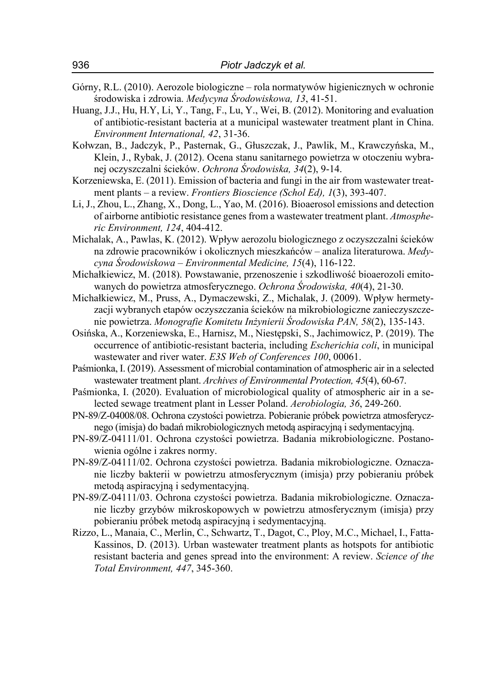- Górny, R.L. (2010). Aerozole biologiczne rola normatywów higienicznych w ochronie środowiska i zdrowia. *Medycyna Środowiskowa, 13*, 41-51.
- Huang, J.J., Hu, H.Y, Li, Y., Tang, F., Lu, Y., Wei, B. (2012). Monitoring and evaluation of antibiotic-resistant bacteria at a municipal wastewater treatment plant in China. *Environment International, 42*, 31-36.
- Kołwzan, B., Jadczyk, P., Pasternak, G., Głuszczak, J., Pawlik, M., Krawczyńska, M., Klein, J., Rybak, J. (2012). Ocena stanu sanitarnego powietrza w otoczeniu wybranej oczyszczalni ścieków. *Ochrona Środowiska, 34*(2), 9-14.
- Korzeniewska, E. (2011). Emission of bacteria and fungi in the air from wastewater treatment plants – a review. *Frontiers Bioscience (Schol Ed), 1*(3), 393-407.
- Li, J., Zhou, L., Zhang, X., Dong, L., Yao, M. (2016). Bioaerosol emissions and detection of airborne antibiotic resistance genes from a wastewater treatment plant. *Atmospheric Environment, 124*, 404-412.
- Michalak, A., Pawlas, K. (2012). Wpływ aerozolu biologicznego z oczyszczalni ścieków na zdrowie pracowników i okolicznych mieszkańców – analiza literaturowa. *Medycyna Środowiskowa – Environmental Medicine, 15*(4), 116-122.
- Michałkiewicz, M. (2018). Powstawanie, przenoszenie i szkodliwość bioaerozoli emitowanych do powietrza atmosferycznego. *Ochrona Środowiska, 40*(4), 21-30.
- Michałkiewicz, M., Pruss, A., Dymaczewski, Z., Michalak, J. (2009). Wpływ hermetyzacji wybranych etapów oczyszczania ścieków na mikrobiologiczne zanieczyszczenie powietrza. *Monografie Komitetu Inżynierii Środowiska PAN, 58*(2), 135-143.
- Osińska, A., Korzeniewska, E., Harnisz, M., Niestępski, S., Jachimowicz, P. (2019). The occurrence of antibiotic-resistant bacteria, including *Escherichia coli*, in municipal wastewater and river water. *E3S Web of Conferences 100*, 00061.
- Paśmionka, I. (2019). Assessment of microbial contamination of atmospheric air in a selected wastewater treatment plant. *Archives of Environmental Protection, 45*(4), 60-67.
- Paśmionka, I. (2020). Evaluation of microbiological quality of atmospheric air in a selected sewage treatment plant in Lesser Poland. *Aerobiologia, 36*, 249-260.
- PN-89/Z-04008/08. Ochrona czystości powietrza. Pobieranie próbek powietrza atmosferycznego (imisja) do badań mikrobiologicznych metodą aspiracyjną i sedymentacyjną.
- PN-89/Z-04111/01. Ochrona czystości powietrza. Badania mikrobiologiczne. Postanowienia ogólne i zakres normy.
- PN-89/Z-04111/02. Ochrona czystości powietrza. Badania mikrobiologiczne. Oznaczanie liczby bakterii w powietrzu atmosferycznym (imisja) przy pobieraniu próbek metodą aspiracyjną i sedymentacyjną.
- PN-89/Z-04111/03. Ochrona czystości powietrza. Badania mikrobiologiczne. Oznaczanie liczby grzybów mikroskopowych w powietrzu atmosferycznym (imisja) przy pobieraniu próbek metodą aspiracyjną i sedymentacyjną.
- Rizzo, L., Manaia, C., Merlin, C., Schwartz, T., Dagot, C., Ploy, M.C., Michael, I., Fatta-Kassinos, D. (2013). Urban wastewater treatment plants as hotspots for antibiotic resistant bacteria and genes spread into the environment: A review. *Science of the Total Environment, 447*, 345-360.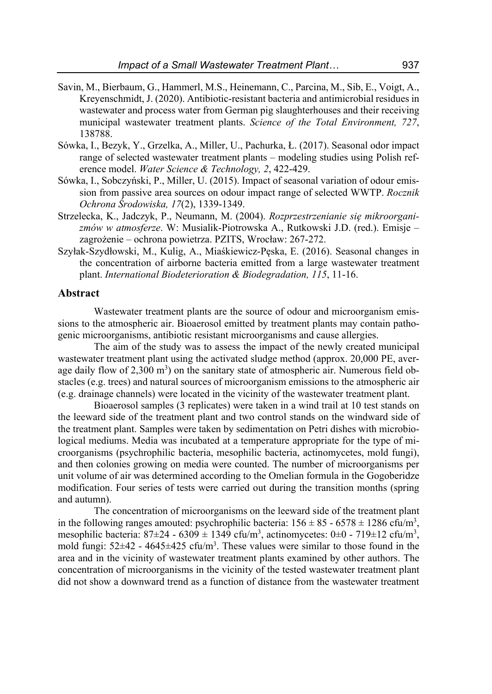- Savin, M., Bierbaum, G., Hammerl, M.S., Heinemann, C., Parcina, M., Sib, E., Voigt, A., Kreyenschmidt, J. (2020). Antibiotic-resistant bacteria and antimicrobial residues in wastewater and process water from German pig slaughterhouses and their receiving municipal wastewater treatment plants. *Science of the Total Environment, 727*, 138788.
- Sówka, I., Bezyk, Y., Grzelka, A., Miller, U., Pachurka, Ł. (2017). Seasonal odor impact range of selected wastewater treatment plants – modeling studies using Polish reference model. *Water Science & Technology, 2*, 422-429.
- Sówka, I., Sobczyński, P., Miller, U. (2015). Impact of seasonal variation of odour emission from passive area sources on odour impact range of selected WWTP. *Rocznik Ochrona Środowiska, 17*(2), 1339-1349.
- Strzelecka, K., Jadczyk, P., Neumann, M. (2004). *Rozprzestrzenianie się mikroorganizmów w atmosferze*. W: Musialik-Piotrowska A., Rutkowski J.D. (red.). Emisje – zagrożenie – ochrona powietrza. PZITS, Wrocław: 267-272.
- Szyłak-Szydłowski, M., Kulig, A., Miaśkiewicz-Pęska, E. (2016). Seasonal changes in the concentration of airborne bacteria emitted from a large wastewater treatment plant. *International Biodeterioration & Biodegradation, 115*, 11-16.

### **Abstract**

Wastewater treatment plants are the source of odour and microorganism emissions to the atmospheric air. Bioaerosol emitted by treatment plants may contain pathogenic microorganisms, antibiotic resistant microorganisms and cause allergies.

The aim of the study was to assess the impact of the newly created municipal wastewater treatment plant using the activated sludge method (approx. 20,000 PE, average daily flow of  $2,300 \text{ m}^3$ ) on the sanitary state of atmospheric air. Numerous field obstacles (e.g. trees) and natural sources of microorganism emissions to the atmospheric air (e.g. drainage channels) were located in the vicinity of the wastewater treatment plant.

Bioaerosol samples (3 replicates) were taken in a wind trail at 10 test stands on the leeward side of the treatment plant and two control stands on the windward side of the treatment plant. Samples were taken by sedimentation on Petri dishes with microbiological mediums. Media was incubated at a temperature appropriate for the type of microorganisms (psychrophilic bacteria, mesophilic bacteria, actinomycetes, mold fungi), and then colonies growing on media were counted. The number of microorganisms per unit volume of air was determined according to the Omelian formula in the Gogoberidze modification. Four series of tests were carried out during the transition months (spring and autumn).

The concentration of microorganisms on the leeward side of the treatment plant in the following ranges amouted: psychrophilic bacteria:  $156 \pm 85 - 6578 \pm 1286$  cfu/m<sup>3</sup>, mesophilic bacteria:  $87\pm24 - 6309 \pm 1349$  cfu/m<sup>3</sup>, actinomycetes:  $0\pm0 - 719\pm12$  cfu/m<sup>3</sup>, mold fungi:  $52\pm 42$  -  $4645\pm 425$  cfu/m<sup>3</sup>. These values were similar to those found in the area and in the vicinity of wastewater treatment plants examined by other authors. The concentration of microorganisms in the vicinity of the tested wastewater treatment plant did not show a downward trend as a function of distance from the wastewater treatment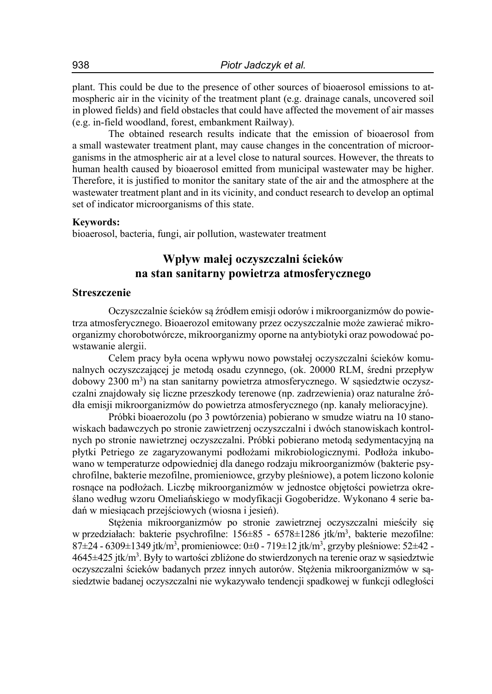plant. This could be due to the presence of other sources of bioaerosol emissions to atmospheric air in the vicinity of the treatment plant (e.g. drainage canals, uncovered soil in plowed fields) and field obstacles that could have affected the movement of air masses (e.g. in-field woodland, forest, embankment Railway).

The obtained research results indicate that the emission of bioaerosol from a small wastewater treatment plant, may cause changes in the concentration of microorganisms in the atmospheric air at a level close to natural sources. However, the threats to human health caused by bioaerosol emitted from municipal wastewater may be higher. Therefore, it is justified to monitor the sanitary state of the air and the atmosphere at the wastewater treatment plant and in its vicinity, and conduct research to develop an optimal set of indicator microorganisms of this state.

#### **Keywords:**

bioaerosol, bacteria, fungi, air pollution, wastewater treatment

### **Wpływ małej oczyszczalni ścieków na stan sanitarny powietrza atmosferycznego**

### **Streszczenie**

Oczyszczalnie ścieków są źródłem emisji odorów i mikroorganizmów do powietrza atmosferycznego. Bioaerozol emitowany przez oczyszczalnie może zawierać mikroorganizmy chorobotwórcze, mikroorganizmy oporne na antybiotyki oraz powodować powstawanie alergii.

Celem pracy była ocena wpływu nowo powstałej oczyszczalni ścieków komunalnych oczyszczającej je metodą osadu czynnego, (ok. 20000 RLM, średni przepływ dobowy 2300 m<sup>3</sup>) na stan sanitarny powietrza atmosferycznego. W sąsiedztwie oczyszczalni znajdowały się liczne przeszkody terenowe (np. zadrzewienia) oraz naturalne źródła emisji mikroorganizmów do powietrza atmosferycznego (np. kanały melioracyjne).

Próbki bioaerozolu (po 3 powtórzenia) pobierano w smudze wiatru na 10 stanowiskach badawczych po stronie zawietrzenj oczyszczalni i dwóch stanowiskach kontrolnych po stronie nawietrznej oczyszczalni. Próbki pobierano metodą sedymentacyjną na płytki Petriego ze zagaryzowanymi podłożami mikrobiologicznymi. Podłoża inkubowano w temperaturze odpowiedniej dla danego rodzaju mikroorganizmów (bakterie psychrofilne, bakterie mezofilne, promieniowce, grzyby pleśniowe), a potem liczono kolonie rosnące na podłożach. Liczbę mikroorganizmów w jednostce objętości powietrza określano według wzoru Omeliańskiego w modyfikacji Gogoberidze. Wykonano 4 serie badań w miesiącach przejściowych (wiosna i jesień).

Stężenia mikroorganizmów po stronie zawietrznej oczyszczalni mieściły się w przedziałach: bakterie psychrofilne: 156±85 - 6578±1286 jtk/m<sup>3</sup>, bakterie mezofilne:  $87\pm24$  -  $6309\pm1349$  jtk/m<sup>3</sup>, promieniowce: 0 $\pm$ 0 - 719 $\pm12$  jtk/m<sup>3</sup>, grzyby pleśniowe: 52 $\pm42$  -4645±425 jtk/m<sup>3</sup>. Były to wartości zbliżone do stwierdzonych na terenie oraz w sąsiedztwie oczyszczalni ścieków badanych przez innych autorów. Stężenia mikroorganizmów w sąsiedztwie badanej oczyszczalni nie wykazywało tendencji spadkowej w funkcji odległości